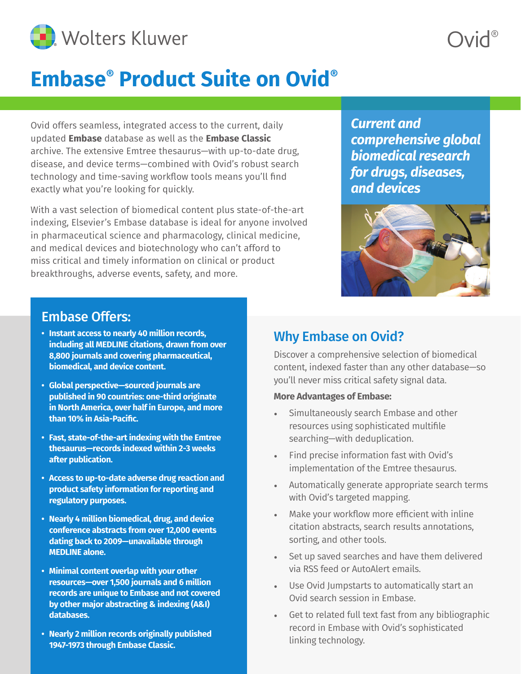

Ovid offers seamless, integrated access to the current, daily updated **Embase** database as well as the **Embase Classic** archive. The extensive Emtree thesaurus—with up-to-date drug, disease, and device terms—combined with Ovid's robust search technology and time-saving workflow tools means you'll find exactly what you're looking for quickly.

With a vast selection of biomedical content plus state-of-the-art indexing, Elsevier's Embase database is ideal for anyone involved in pharmaceutical science and pharmacology, clinical medicine, and medical devices and biotechnology who can't afford to miss critical and timely information on clinical or product breakthroughs, adverse events, safety, and more.

*Current and comprehensive global biomedical research for drugs, diseases, and devices*

Ovid®



## Embase Offers:

- **• Instant access to nearly 40 million records, including all MEDLINE citations, drawn from over 8,800 journals and covering pharmaceutical, biomedical, and device content.**
- **• Global perspective—sourced journals are published in 90 countries: one-third originate in North America, over half in Europe, and more than 10% in Asia-Pacific.**
- **• Fast, state-of-the-art indexing with the Emtree thesaurus—records indexed within 2-3 weeks after publication.**
- **• Access to up-to-date adverse drug reaction and product safety information for reporting and regulatory purposes.**
- **• Nearly 4 million biomedical, drug, and device conference abstracts from over 12,000 events dating back to 2009—unavailable through MEDLINE alone.**
- **• Minimal content overlap with your other resources—over 1,500 journals and 6 million records are unique to Embase and not covered by other major abstracting & indexing (A&I) databases.**
- **• Nearly 2 million records originally published 1947-1973 through Embase Classic.**

## Why Embase on Ovid?

Discover a comprehensive selection of biomedical content, indexed faster than any other database—so you'll never miss critical safety signal data.

#### **More Advantages of Embase:**

- Simultaneously search Embase and other resources using sophisticated multifile searching—with deduplication.
- Find precise information fast with Ovid's implementation of the Emtree thesaurus.
- Automatically generate appropriate search terms with Ovid's targeted mapping.
- Make your workflow more efficient with inline citation abstracts, search results annotations, sorting, and other tools.
- Set up saved searches and have them delivered via RSS feed or AutoAlert emails.
- Use Ovid Jumpstarts to automatically start an Ovid search session in Embase.
- Get to related full text fast from any bibliographic record in Embase with Ovid's sophisticated linking technology.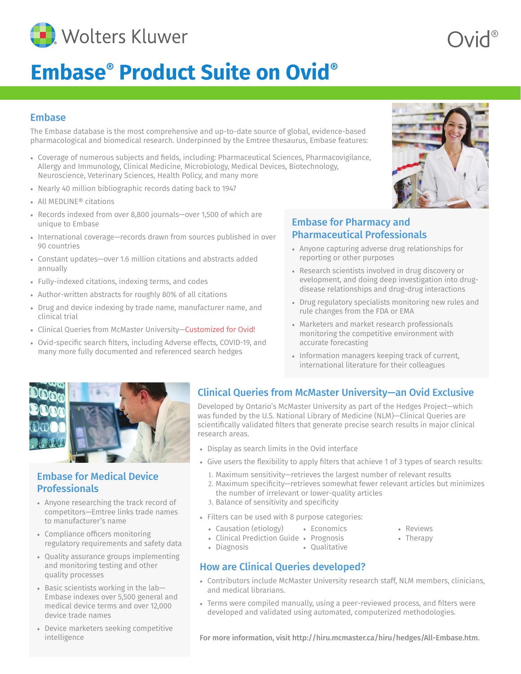

#### Embase

The Embase database is the most comprehensive and up-to-date source of global, evidence-based pharmacological and biomedical research. Underpinned by the Emtree thesaurus, Embase features:

- Coverage of numerous subjects and fields, including: Pharmaceutical Sciences, Pharmacovigilance, Allergy and Immunology, Clinical Medicine, Microbiology, Medical Devices, Biotechnology, Neuroscience, Veterinary Sciences, Health Policy, and many more
- Nearly 40 million bibliographic records dating back to 1947
- All MEDLINE® citations
- Records indexed from over 8,800 journals—over 1,500 of which are unique to Embase
- International coverage—records drawn from sources published in over 90 countries
- Constant updates—over 1.6 million citations and abstracts added annually
- Fully-indexed citations, indexing terms, and codes
- Author-written abstracts for roughly 80% of all citations
- Drug and device indexing by trade name, manufacturer name, and clinical trial
- Clinical Queries from McMaster University—Customized for Ovid!
- Ovid-specific search filters, including Adverse effects, COVID-19, and many more fully documented and referenced search hedges



Ovid®

### Embase for Pharmacy and Pharmaceutical Professionals

- Anyone capturing adverse drug relationships for reporting or other purposes
- Research scientists involved in drug discovery or evelopment, and doing deep investigation into drugdisease relationships and drug-drug interactions
- Drug regulatory specialists monitoring new rules and rule changes from the FDA or EMA
- Marketers and market research professionals monitoring the competitive environment with accurate forecasting
- Information managers keeping track of current, international literature for their colleagues



### Embase for Medical Device Professionals

- Anyone researching the track record of competitors—Emtree links trade names to manufacturer's name
- Compliance officers monitoring regulatory requirements and safety data
- Quality assurance groups implementing and monitoring testing and other quality processes
- Basic scientists working in the lab— Embase indexes over 5,500 general and medical device terms and over 12,000 device trade names
- Device marketers seeking competitive intelligence

#### Clinical Queries from McMaster University—an Ovid Exclusive

Developed by Ontario's McMaster University as part of the Hedges Project—which was funded by the U.S. National Library of Medicine (NLM)—Clinical Queries are scientifically validated filters that generate precise search results in major clinical research areas.

- Display as search limits in the Ovid interface
- Give users the flexibility to apply filters that achieve 1 of 3 types of search results:
	- 1. Maximum sensitivity—retrieves the largest number of relevant results
	- 2. Maximum specificity—retrieves somewhat fewer relevant articles but minimizes the number of irrelevant or lower-quality articles
	- 3. Balance of sensitivity and specificity
- Filters can be used with 8 purpose categories:
	- Causation (etiology) • Economics
	- Clinical Prediction Guide Prognosis
	- Diagnosis • Qualitative

#### How are Clinical Queries developed?

- Contributors include McMaster University research staff, NLM members, clinicians, and medical librarians.
- Terms were compiled manually, using a peer-reviewed process, and filters were developed and validated using automated, computerized methodologies.

For more information, visit http://hiru.mcmaster.ca/hiru/hedges/All-Embase.htm.

- Reviews
- 
- Therapy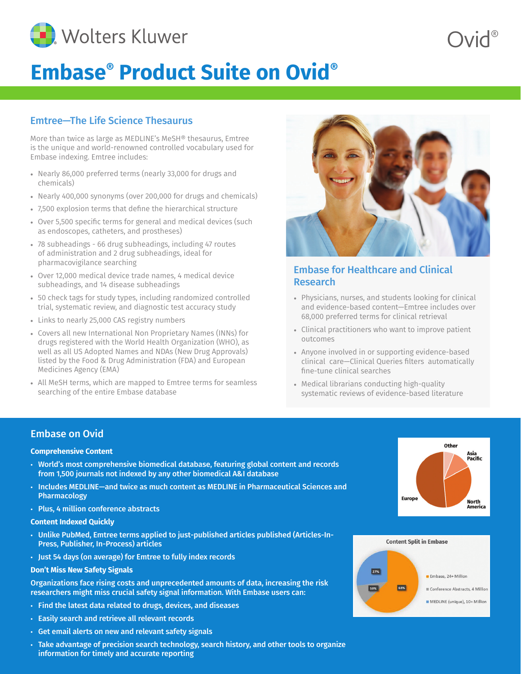

### Emtree—The Life Science Thesaurus

More than twice as large as MEDLINE's MeSH® thesaurus, Emtree is the unique and world-renowned controlled vocabulary used for Embase indexing. Emtree includes:

- Nearly 86,000 preferred terms (nearly 33,000 for drugs and chemicals)
- Nearly 400,000 synonyms (over 200,000 for drugs and chemicals)
- 7,500 explosion terms that define the hierarchical structure
- Over 5,500 specific terms for general and medical devices (such as endoscopes, catheters, and prostheses)
- 78 subheadings 66 drug subheadings, including 47 routes of administration and 2 drug subheadings, ideal for pharmacovigilance searching
- Over 12,000 medical device trade names, 4 medical device subheadings, and 14 disease subheadings
- 50 check tags for study types, including randomized controlled trial, systematic review, and diagnostic test accuracy study
- Links to nearly 25,000 CAS registry numbers
- Covers all new International Non Proprietary Names (INNs) for drugs registered with the World Health Organization (WHO), as well as all US Adopted Names and NDAs (New Drug Approvals) listed by the Food & Drug Administration (FDA) and European Medicines Agency (EMA)
- All MeSH terms, which are mapped to Emtree terms for seamless searching of the entire Embase database



Ovid®

### Embase for Healthcare and Clinical Research

- Physicians, nurses, and students looking for clinical and evidence-based content—Emtree includes over 68,000 preferred terms for clinical retrieval
- Clinical practitioners who want to improve patient outcomes
- Anyone involved in or supporting evidence-based clinical care—Clinical Queries filters automatically fine-tune clinical searches
- Medical librarians conducting high-quality systematic reviews of evidence-based literature

#### Embase on Ovid

#### **Comprehensive Content**

- World's most comprehensive biomedical database, featuring global content and records from 1,500 journals not indexed by any other biomedical A&I database
- Includes MEDLINE—and twice as much content as MEDLINE in Pharmaceutical Sciences and Pharmacology
- Plus, 4 million conference abstracts

#### **Content Indexed Quickly**

- Unlike PubMed, Emtree terms applied to just-published articles published (Articles-In-Press, Publisher, In-Process) articles
- Just 54 days (on average) for Emtree to fully index records

#### **Don't Miss New Safety Signals**

Organizations face rising costs and unprecedented amounts of data, increasing the risk researchers might miss crucial safety signal information. With Embase users can:

- Find the latest data related to drugs, devices, and diseases
- Easily search and retrieve all relevant records
- Get email alerts on new and relevant safety signals
- Take advantage of precision search technology, search history, and other tools to organize information for timely and accurate reporting